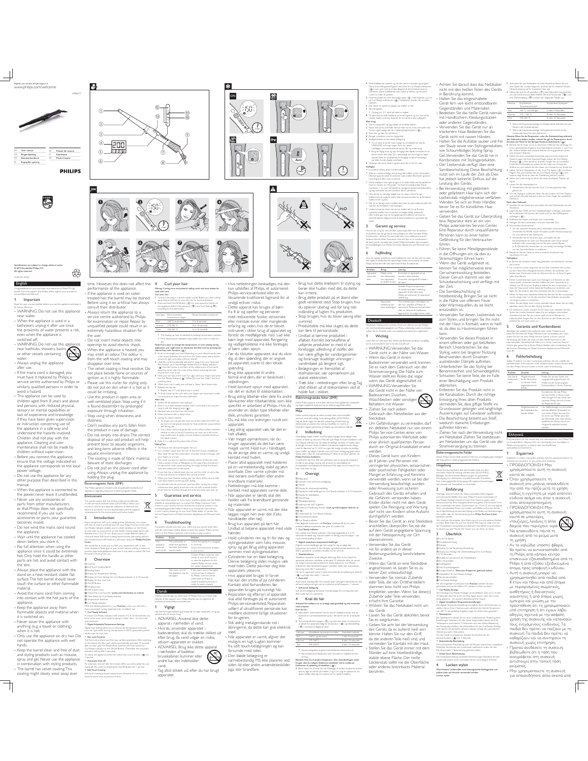

**5/8/10 sec.**

used with care.

use.

8 = finish, b reak up the curls with yo

Lock Function -

Curl your hair Waring: Curling irons are powerful styling tools and must always be

temperature ranges

ur thumb

Repeat step 3-7 until all the hair is curled.

 To ensure you can get the most out of the curler, DO NOT use any form of wet goods (except for heat protection spray) before

 Use a damp cloth and gently dab on the velvet surface wherever residue or dust is found. If necessary, you may use a soft brush (e.g. toothbrush) to gently remove stubborn particles found on

Hold a section of hair at 90degrees to the scalp. Place the barrel 1 cm above the roots (avoid touching the scalp) and lay the strand onto the widest part of the barrel.

or the top sections to enhance the curls all around.<br>When you have finished curling your hair, allow all the curls to fully.

voluminous look, gently brush the curls out with a natural bristle

u can use the curler o n just a few

> ne numb er in the

ur finger fo r extra definitio After Use<br>1 Switch off the appliance and unplug it.<br>2 Place it on a heat-resistant surface until it cools down.You can also<br>3 Remove hairs and dust from the barrel.<br>3 Remove hairs and dust from the barrel. 4 Clean the barrel with a damp cloth. 5 Caring for velvet material:

and during use.

the velvet surface. 6 Keep it in a safe and dry place, free of dust. Styling Tips: The thinner the strand, the tighter the curl. For a modern wave, start the curl at the level of your cheekbone. Also, leave the last few centimeters uncurled. Comb it through with rush.

ur hair has a rutural wave, yo

Recommended curling time

eside the Curl Ready Indicato

ur fingers and wind each smaller

## © 2015 Koninklijke Philips N.V. All rights reserved.

# English 3140 035 39361

Specifications are subject to change without notice

Congratulations on your purchase, and welcome to Philips! To fully enelit fra m the suppo rt that Philips o ffers, register yo ur pro duct at www.philips.com/welcome. **Important** 

 $\bigotimes^\infty_\mathbf{G}$ ۰

Read this user manual carefully before you use the appliance and keep it for future reference. WARNING: Do not use this appliance near water.<br>When the annliance is used in a

- When the appliance is used in a<br>bathroom, unplug it after use since<br>the proximity of water presents a risk,<br>even when the appliance is<br>switched off.<br> $\sim$  WARNING: Do not use this appliance<br>near bathtlubs, showers, basin

Always unplug the appliance after use. If the mains cord is damaged, you must have it replaced by Philips, a service centre authorised by Philips or avoid a hazard.

This appliance can be used by<br>calibrication and person above<br>and persons with reduced physical<br>sensory or mental capabilities car<br>lated of experimer and knowledge<br>in the spherical condition<br>of the phane been given supervis

- When the appliance is connected to<br>the power, rever leave it unattended.<br>
• Never use any accessories or<br>
parts from other manufacturers<br>
or that Philips does not specifically<br>
recommend. If you use such<br>
accessories or

down before you store it.<br>Pay full attention when using the

Pay full attention when using the appliance since it could be extremely hot. Only hold the handle as other parts are hot and avoid contact with the skin.

surface.The hot barrel should never<br>touch the surface or other flammable

into contain coming<br>act with the hot parts of appliance.

flammable objects and material when it is switched on.

Never cover the appliance with anything (e.g. a towel or clothing)

not operate the appliance with wet hands. Keep the barrel clean and free of dust

and styling products such as mousse,<br>spray and gel. Never use the appliance<br>in combination with styling products.<br>The barrel has velvet coating. This<br>coating might slowly wear away over hold the barrel over any period of time.

 $\overline{\mathbb{F}}$ 

time. However, this does not affect the performance of the appliance. If the appliance is used on colortreated hair, the barrel may be stained.<br>Before using it on artificial hair, always

the user<br>
Do not insert metal objects into<br>
openings to avoid electric shock.<br>
When the appliance is heated, you<br>
may smell an odour.<br>
This odour is from the soft touch coating and may

The velvet coating is heat resistive. Do<br>not place beside flame or sources of<br>ignition as it is highly flammable.<br>Please use this curler for styling only,<br>do not put on skin when it is hot as it<br>could be irritating. strand, for tight curls take a thinner strand). 4 Hold the curler horizontally and point it away from your head and ( (ii) ) but don't press it yet. Start at the widest point of the barrel, place the curler near the roots of the section and wrap the hair around from root to tip. 5 Hold your hair tips at the Cool Tip (()) with your fingers and press<br>the Curl Ready Indicator((i) ). When you hear the "beep", the time counting starts. 6 When your curl is ready, you will hear a "beep" alert three times. 7 Release the hair tip.

- Use this product in open area or<br>well-ventilated place. Stop using if it<br>is found discomfort by prolonged<br>exposure through inhalation.<br>Stop using when drowsiness and<br>diziness.<br>The stop with a discussion of the product in

aquatic environment.<br>The coating is made of fabric material,

using. Always unplug the appliance by holding the plug. Electromagnetic fields (EMF)

> risk o Finatant b ums. We he pe yo u will enjo

Curler.

forward to hearing from you. 3 Overview Cool Tip s<br>Soft Coating Barrel Resting Stand Display for Temperature Setting Display for Time Settings for Curl Ready Indicator: 5, 8, 10 seconds Display for Key Lock Icon On/Off Button

 Temperature Switches Curl Ready Indicator

results even for thick hair. \* Key Lock Function

Environment

- Always place the appliance with the<br>stand on a heat-resistant, stable flat

material. Avoid the mains cord from coming Hanging Loop 360º Swivel Cord Unlock Key Lock Function (press and hold button to unlock) Time Switch for Curl Ready Indicator

Keep the appliance away from

 Curl Ready Indicator know when your curl is ready by giving a "beep" alert - no more hair overtreatment. Digital Adjustable Temperature Settings

when it is hot. Only use the appliance on dry hair. Do

The Key Lock protects you from any careless operations. After switching on the device, the Key Lock will be automatically activated 15 seconds after you last used the Temperature Switches, the Time Switch for Curl Ready Indicator or the On/Off Button (Thereafter the automatic activation will be after 5 seconds).

1 second. .<br>natic Shut-of An automatic shut-off after 60 minutes offers you extra safety. You can reactivate the curler by pressing the On/Off Button for 1 second. **Soft Touch Coating** Soft touch coating prevents instant burns. However, do not touch or

consult their distributor. Always return the appliance to a service centre authorized by Philips for examination or repair. Repair by extremely hazardous situation for Curl your hair: 1 Connect the plug to a power supply socket. Before you start curling, spray heat protectant on your dry hair for more protection.  $2$  Press and hold On/Off Button (  $\circledcirc$  ) for one second to switch on the appliance. Select a Temperature (  $\text{\textcircled{w}}$  ) and Time Setting(  $\text{\textcircled{v}}$  ) according to the table below: Hair type Recommended Fine 160 ºC and below 5 or 8 seconds Normal 170-180 ºC 8 or 10 seconds Thick 190-200 ºC 8 or 10 seconds The heating up time is indicated by blinking temperature numbers. If the temperature indication stays stable, the curler is ready for

Note:If you want to change the temperature or time setting during application, you might have to deactivate the Key Lock by pressing the Unlock \$%-3 Brush to de-tangle your hair. Depending on your desired results, take a hair strand between 2cm and 4cm (for loose waves take a thicker

prevent toxic to aquatic organisms, and long-term adverse effects in the aquatic environment.

We would like to invite you to share your experience with us and other shoppers. Please give us your honest opinion writing a review on product page www.philips.com/haircare. It only takes a minute. We look

With the following features in your ProCare curler, you will have a more convenient curling experience for a healthier hair.

Digital heat settings allow you to choose the temperature that suits your hair type, while the top temperature of 200ºC guarantees perfect

.<br>A unit Curl Ready Indicates of 5, 8, 10 seconds lets yo

.<br>Took Key Lock Function ( @) for

beware of static discharges. Do not pull on the power cord after This curler can also be used for creating volume at the hair roots.  $\cdot$  if yo

### This Philips appliance complies with all applicable standards and rs regarding expo electro magnetic fields.

\* Fo brush. Start by brushing through the ends and work your way up. 5 Guarantee and service This symbol means that this product shall not be disposed  $\chi$ If you need information or if you have a problem, please visit the Philips website at www.philips.com or contact the Philips Customer Care of with normal household waste (2012/19/EU). Follow your Centre in yo u can find the list o f pha country's rules for the separate collection of electrical and ridwide guarantee leaflet. If there is no nsumer Care Centre

\* When yo u have finished curling yo cool down before continuing with styling.

> r defined curls, do co rush ya ur hair after curling. Fo r a way.

electronic products. Correct disposal helps prevent negative consequences for the environment and human health.<br>2 **Introduction** Hyper sumptuous, soft curls, radiating shine. Voluptuous, chic waves in your country, please go to your local Philips dealer or contact the Service Department of Philips Domestic Appliances and Personal Care BV. 6 Troubleshooting

with lots of volume and thickness. The new Philips ProCare curler with Curl Ready Indicator enables you to create variations on the theme of curls with no compromise on hair health. Conical shape barrel with diameter from 13 to 25 mm allows you to create different types of<br>curls and waves. Soft touch coating barrel ensures safe styling without<br>risk of instant burns. We hope you will enjoy using your **Philips ProCare** If problems should arise with your curler and you cannot solve them with the information below, please contact the nearest Philips service centre or the Philips Customer Care Centre in your country. Problem Cause Solution

The appliance does not work at all. The wall socket to which the appliance has been connected may be faulty. Check the appliance is plugged in correctly. Check the fuse/circuit breaker in your home. Contact Philips customer care

center in your local country or take the appliance to the nearest Philips service center for repair/ replacement. The mains cord of the appliance may be If the mains cord is damaged, you must have it replaced by Philips, a service centre authorised by Philips or

smlarly qualified perso order to avoid a hazard. Dansk

### Tillykke med dit køb, og velkommen til Philips! Hvis du vil have fuldt udbytte af den support, som Philips tilbyder, kan du registrere dit produkt på www.philips.com/welcome.

vand.

1 Vigtigt Les denne b ruger vejledning grundigt, før du tager apparatet i b ¢. opbevar den til senere brug. ADVARSEL: Anvend ikke dette apparat i nærheden af vand. Hvis du anvender apparatet i badeværelset, skal du trække stikket ud

efter brug, da vand udgør en risiko, selvom apparatet er slukket. ADVARSEL: Brug ikke dette apparat

i nærheden af badekar, brusekabiner, kummer eller andre kar, der indeholder

Tag altid stikket ud, efter du har brugt apparatet.

Hvis netledningen beskadiges, må den kun udskiftes af Philips, et autoriseret Philips-serviceværksted eller en<br>tilsvarende kvalificeret fagmand for at undgå enhver risiko.

Dette apparat kan bruges af børn fra 8 år og opefter og personer med reducerede fysiske, sensoriske eller mentale evner eller manglende erfaring og viden, hvis de er blevet instrueret i sikker brug af apparatet og forstår de medfølgende risici. Lad ikke børn lege med apparatet. Rengøring og vedligeholdelse må ikke foretages af børn uden opsyn. Før du tilslutter apparatet, skal du sikre

dig, at den spænding, der er angivet på apparatet, svarer til den lokale

spænding. Brug ikke apparatet til andre formål end dem, der er beskrevet i

vejledningen.<br>Hold konstant opsyn med apparatet, når det er skuttet til stikkonstaten.<br>Pavag aldrig tilbehør eller dele fra andre<br>Stanhkarter eller tilbehør dele fra andre<br>specifikt er andrefate af Philips. Hvis du<br>arvende

 Læg aldrig apparatet væk, før det er helt afkølet. Vær meget opmærksom, når du bruger apparatet, da det kan være meget varmt. Hold kun i håndtaget, da de øvrige dele er varme, og undgå kontakt med huden. • Placer altid apparatet med holderen<br>
på en varme bstandig, stabil og jævn<br>
sikke berøre overfladen eller andre<br>
brandbare materialer.<br>
brandbare materialer.<br>
• Netledningen må ikke komme i<br>
• kontakt med apparatets varme Når apparatet er tændt, skal det holdes væk fra brændbare genstande og materialer.<br>Når apparatet er varmt, må der ikke<br>lægges noget hen over det (f.eks.<br>håndklæder eller tøj).<br>Brug kun apparatet på tørt hår.<br>Undiad at betjene apparatet med våde

hænder.<br>Hold cylinderen ren og fri for støv og sylingropolukter som f.eks. mouse, spay og gel. Brug aldrig apparatet sammen med stylingsrodukter.<br>Gyndren har en blød beliggning. Denne helte ginnig av med tiden. Dette påvi

.<br>åbningerne, da dette kan give elektrisk

stød. Når apparatet er varmt, afgiver det muligvis en lugt. Lugten kommer fra soft touch-belægningen og kan forsvinde med tiden.

 Auto-sluk Soft touch-belægning forhindrer forbrændinger. Du må dog ikke røre med omtanke. Krøl dit hår:

Den bløde belægning er varmebestandig. Må ikke placeres ved siden ild eller andre antændelseskilder pga. stor brandfare.

· Brug kun dette krøllejern til styling, o berør ikke huden med det, da dette kan irritere. Brug dette produkt på et åbent elle

g.

**150 1860** 

 $\circled{1}$ 

godt ventileret sted. Stop brugen, hvis du oplever ubehag ved for lang tids indånding af lugten fra produktet. Stop brugen, hvis du bliver søvnig eller svimmel. svimmer.<br>Produktdele må ikke sluges, da dette<br>kan føre til personskade.

kan føre til personskade.<br>• Undad at tømme produktet i afløbet. Kornels af tømme produktet i afløbet.<br>• Undad at tømme produktet i afløt<br>• udtjente produkter er med til at forebygge udledning af stoffer, der van og forårsa

Træk ikke i netledningen efter brug. Tag altid stikket ud af stikkontakten ved at

holde fast i stikket. Elektromagnetiske felter (EMF) Dette Philips-apparat overholder alle branchens gældende standarder og regler angående eksponering for elektromagnetiske felter.

Miljø Dette symbol betyder, at dette produkt ikke må bortskaffes É sammen med almindeligt husholdningsaffald (2012/19/EU). Følg dit lands regler for særskilt indsamling af elektriske og elektroniske produkter. Korrekt bortskaffelse er med til at

thindre negativ pävirkning af miljøet o g menneskers helb 2 Indledning Overdädige, blade kraller med flot glans.Yppige, flot<br>masser af fylde og volumen. Med det nye Philips Pro t glans. Yppige, flo tte b alger med Care-kraftejern med Curl Ready-indikator kan du skabe forskellige varianter af kræler, uden<br>at det gile ud over histrik sundbed. Cylinderens kegleformede design<br>med en diarreter på 13 til 15 mm gør det muligt at skabe forskellige<br>typing uden

Philips ProCare-krøllejern. Vi opfordrer dig til at dele din oplevelse med os og andre shoppere. Fortæl os din ærlige mening ved at skrive en anmeldelse på produktsiden www.philips.com/haircare. Det tager kun et minut. Vi ser frem til at høre fra dig. 3 Oversigt

 Kølig spids Cylinder med soft touch-belægning Holder Display for temperaturindstilling

 Display for tidsindstillinger for Curl Ready-indikator: 5, 8, 10 sekunder Display for tastelåsikon On/off-knap Ophængningsstrop Ledning med 360º kugleled Funktion til opläsning af taster (tryk og hold knappen nede for at låse op) Tidskontakt for Curl Ready-indikator

 Temperaturkontakter Curl Ready-indikator Med følgende funktioner i dit **ProCare** «krøllejernfår du en mere praktisk krøfejernso plevelse, der giver et sundere här. Curl Ready-indikator Den unikke Curl Ready-indikator med valgmulighederne 5, 8, 10 sekunder fortæller dig, hvornår krøllen er færdig, med en biplyd – slut med overbehandling af håret. Digitalt justerbare temperaturindstillinger

Digitale varmeindstillinger gør det muligt for dig at vælge den temperatur, der passer til din hårtype, og maksimumtemperaturen på 200ºC garanterer et perfekt resultat selv for tykt hår. Tastelåsfunktion Tasteläsen b eskytter ma d utilsigtet b etjening. Når du har tændt fo apparatet, aktiveres tastelåsen automatisk 15 sekunder efter, du senest har b etjent temperaturko ntakterne, tichko etakten fo r Curl Ready-% ren eller tændikuk-kruppen (herefter finder den auto matiske aktivering sted efter 5 sekunder).

Lås op for apparatet ved at trykke på funktionen til oplåsning af tasterne ( (@ ) og holde den nede i 1 sekund. Automatisk slukning efter 60 minutter giver yderligere sikkerhed. Du kan aktivere krøllejernet igen ved at trykke på o ff-knappen i 1 sekund. Soft touch-belægning

eller holde fast om cylinderen.<br>**4 Krøl dit hår** Advarsel: Et krøllejern er et kraftigt stylingredskab og skal anvendes

1 Sæt stikket i stikkontakten. Før du starter krølleprocessen, skal du anvende en varmebeskyttende spray i det tørre hår for at beskytte

det.<br>2 Tryk på tænd/sluk-knappen (  $@$  ), og hold den nede i et sekund for<br>at tænde for apparatet.Vælg en temperatur- (  $@$  ) og tidsindstilling ( (t) ) i henhold til følgende tabel Hårtype Anbefalede temperaturområder Anbefalet krølletid Fint 160ºC og derunder 5 eller 8 sekunder Normal 170-180°C 8 eller 10 sekunder Tykt 190-200ºC 8 eller 10 sekunder

> \* Opvarmningstiden angives med blinkende temperaturtal.<br>\* När temperaturindikationen lyser konstant, er krølejernet klar til brug. Berneurich-Hvis des volles sampseraur- eller sichscheidlingen under<br>brugen, skal du mullipets desktörere taxeellisen ved at trykkes på<br>"functionen til opklanding af taxtellisen (-8).<br>") Serut hierts for at rede det ud Afha

4 Hold kraftejernet vanchet, og ert det vak fra hovedet og arnightel<br>
(  $\Re$ ), men vent med at trykke. Begynd på det bredeste sted på<br>
(  $\Re$ ), men vent med at trykke. Begynd på det bredeste sted på<br>
cylnderen, piacer kraf g ret det vak fra ho vedet a g arnigtet. m den af lo klasn, a g vild häret 5 Hold hårspidserne mod den kølige spids ( (j) ) med fingrene, og tryk<br>på Curl Ready-indikatoren ( @ ). Tidstælleren starter, når du hører biplyden. 6 Der høres en biplyd tre gange, når krøllen er klar. 7 Slip hårspidsen. Gentag trin 3-7, indtil alt håret er krøllet. 8 Til sidst skal du skille krøllerne ad med fingrene o hver af de mindre krøller o mkring fingeren fa r at markere den tydelgere. Efter brug Achten Sie darauf, dass das Netzkabel nicht mit den heißen Teilen des Geräts in Berührung kommt. Halten Sie das eingeschaltete Gerät fern von leicht entzündbaren Gegenständen und Materialien.

2 Placer det på en o verflade, der kan tille varme, mens det køler ned. Du kan også hænge det op i ophængningsstroppen (  $\langle \hat{y} \rangle$ ). 3 Fjern hår o g stav fra cylinderen. 4 Rengør cylinderen med en fugtig klud. 5 Vedligeholdelse af den bløde belægning: \* Fo r at slow at du fir ment muligt ud af lowllejernet, skal du UNDLADE at bruge nogen form for væske (undtagen varmebeskyttende spray) før og under brug. \* Brug on fugtig klud, a g dup fo rsigtigt den b lade o verflade fo r at ferne rester eller støv. Om nødvendigt kan du b ruge en b **lad** - Bedecken Sie das heiße Gerät intensis<br>
en Sie das heiße Gerät intensis<br>
coder anderen Gegenständen.<br>
Ordonenen Hara: Bedecken var an trockenenn Hara: Bedecken var an trockenenn Hara: Bedecken Hara: Gerät nicht mit Sie d

1 Sluk for apparatet, og tag stikket ud af stikkontakten.

ente (f.eks. en tando arste) til fo rsigtigt at førne vanskelige

partikler fra den b løde o verflade 6 Opbevar det på et sikkert og tørt sted, der er frit for støv. Stylingtip: Jo tyndere hårlok, desto mindre krølle. Skab en moderne bølge ved at begynde krøllen ud for dit kindben. Efterlad også de sidste få centimer uden krøller. Red håret igennem med fingrene eller med en b erste. \* Dette krøllejern kan o ruges til at skab e fylde ved härrødderne. Hold en hårlok ud i 90 grader i forhold til hovedbunden. Placer cylinderen 1 cm over hårrødderne (undgå at berøre hovedbunden), og læg hårlokken på den bredeste del af cylinderen. \* Hvis dit hår er raturigt belget, kan du reger med at bruge<br>Xxellerne her og der.<br>Xxellerne hør og der.<br>\* Når du er færdig med at krølle håret, skal du lade krøllerne køle helt<br>\* Når du fortsætter med stylingen. rups rat fo nterke Undlad at børste håret, når du har krøllet det, for at få mere Bei Verwendung mit getöntem oder gefärbtem Haar kann sich der Lockenstab möglicherweise verfärben. Wenden Sie sich an Ihren Händler, bevor Sie es für künstliches Haar verwenden. Geben Sie das Gerät zur Überprüfung

markante krøller. Hvis du ønsker et bølget, fyldigt udseende efter krølningen, skal du forsigtigt børste krøllerne ud med en naturháníc ante. Begynd med at b ente spdseme, a ejd dig opad. 5 Garanti og service

Hvis du har brug for service eller oplysninger, eller hvis du oplever et problem, kan du gå ind på www.philips.com eller kontakte Philips Kundecenter i dit land. Du kan finde listen o ver telefo erummeret i folderen World-Wide Guarantee. Hvis der ikke er et kundecenter i dit land, skal du kontakte den lokale Philips-forhandler eller kontakte serviceafdelingen hos Philips Domestic Appliances and Personal Care

er sluttet til, ikke.

Deutsch

BV. ;-Fejlfinding Hvis der a pstår pro lemer med krøllejernet, so m du ikke selv kan løse ved hjælp af nederstående o edes du ka etakte din la % Philips-forhandler eller det nærmeste Philips Kundecenter. Problem Årsag Løsning Apparatet virker slet ikke. Måske virker den stikkontakt, som apparatet Kontroller, at apparatet er sat korrekt i stikkontakten. Kontroller sikringen/HFI-relæet i führen. Führen Sie keine Metallgegenstände in die Öffnungen ein, da dies zu Stromschlägen führen kann. Wenn das Gerät aufgeheizt ist, können Sie möglicherweise eine Geruchsentwicklung feststellen. Dieser Geruch stammt von der<br>Schutzbeschichtung und verfliegt mit

dit hjem.

Herzlichen Glückwunsch zu Ihrem Kauf und willkommen bei Philips! Um das Kundendienstangebot von Philips vollständig nutzen zu können, sollten Sie Ihr Produkt unter www.philips.com/welcome registrieren. 1 Wichtig

Learn Sie vor Gerichten des Gerich der Australienten deutschen Startingschein<br>Australienten Sie in Gerichten des Gerätt in der Nählen von Wasser:<br>• WARNUNG:Verwenden Sie das<br>Gerätt nicht in der Nähle von Wasser:<br>• Venn das

Stromversorgung. Die Nähe zum<br>Wasser stellt ein Risiko dar, sogar<br>Wenn das Gerät abgeschaltet ist.<br>• WARNUNG: verwennen Sie<br>Cass Gerät nicht in der Nähe von<br>Badewannen, Duschen,<br>• Waschbecken oder sonstigen<br>«Behältern mit

~ Gebrauch den Netzstecker aus der

Steckdose.<br>Christian Christian and Christian Christian Christian defektes Netzkabel nur von einem Philips Service-Center, einer von einem Philips Service-Center, einer Schrist<br>Philips autorisierten Werkstatt deer einer ähn

verringerten physischen, sensorischen<br>oder psychischen Fähigkeiten oder<br>Mangel an Erfahrung und Kenntnis<br>verwendet werden, wenn sie bei der<br>Verwendung beaufsichtigt wurden<br>oder Anweisung zum sicheren<br>Gebrauch des Geräts er

die Gefahren verstanden haben. Kinder dürfen nicht mit dem Gerät spielen. Die Reinigung und Wartung darf nicht von Kindern ohne Aufsicht durchgeführt werden.<br>Bevor Sie das Gerät an eine Steckdose Bevor Sie das Gerät an eine Steckdose anschließen, überprüfen Sie, ob die auf dem Gerät angegebene Spannung mit der Netzspannung vor Ort übereinstimmt.

stammen bzw. nicht von Philips empfohlen werden. Wenn Sie diese(s) Zubehör oder Teile verwenden, erlischt Ihre Garantie. Wickeln Sie das Netzkabel nicht um das Gerät. en Sie das Gerät abkühlen, bevor Sie es wegräumen. Geben Sie acht bei der Verwendung des Geräts, da es äußerst heiß sein den Griff, könnte. Halten Sie nur den Griff, da die anderen Teile heiß sind, und vermeiden Sie Kontakt mit der Haut.<br>Stellen Sie das Gerät immer mit dem Stellen Sie das Gerät immer mit d

stabile ebene Fläche. Der heiße<br>Lockenstab sollte nie die Oberfläche<br>oder anderes brennbares Material

berühren.

Verwenden Sie das Gerät nie für andere als in dieser Bedienungsanleitung beschriebene Zwecke. Wenn das Gerät an eine Steckdose angeschlossen ist, lassen Sie es zu keiner Zeit unbeaufsichtigt. Verwenden Sie niemals Zubehör oder Teile, die von Drittherstellern

Kontakt Philips Kundecenter i dit lokale land eller medbring apparatet til det nærmeste Philips-servicecenter til reparation/ udskiftning. Apparatets netledning kan være beskadiget. Hvis netledningen beskadiges, må den kun udskiftes af Philips, et autoriseret Philips-serviceværksted eller en tilsvarende kvalificeret fagmand for at undgå enhver risiko. der Zeit. Die Samtbeschichtung ist hitzebeständig. Bringen Sie sie nicht in die Nähe von offenem Feuer oder Wärmequellen, da sie leicht entzündlich ist.

bzw. Reparatur stets an ein von<br>Philips autorisiertes Service-Center.<br>Eine Reparatur durch unqualifizierte<br>Personen kann zu einer hohen Gefährdung für den Verbraucher

1 Verbinden Sie das Netzkabel mit einer Steckdose. Bevor Sie mit dem Stylen der Locken beginnen, sprühen Sie für besseren Schutz Hitzeschutzspray auf Ihr trockenes Haar auf. 2 Halten Sie den Ein-/Ausschalter (  $\circledcirc$  ) zwei Sekunden lang gedrückt, um das Gerät einzuschalten.Wählen Sie eine Temperatur (  $\circled{v}$  ) und eine Zeiteinstellung ( 10) anhand der folgenden Tabelle aus Haartyp Empfohlener Temperaturbereich

Fein 160 ºC und weniger 5 oder 8 Sekunden Normal 170 - 180 °C 8 oder 10 Sekunden Dick 190-200 ºC 8 oder 10 Sekunden \* Wern die Temperaturanzeige im Display b<br>Gerät in der Aufwärmphase.

 Wenn die Temperaturanzeige durchgehend leuchtet, ist der Lockenstab bereit für den Gebrauch. Hinweis: Wenn Sie die Temperatur- oder die Zeiteinstellung während des Gebrauchs ändern wollen, müssen Sie ggf. die Tastensperre durch<br>Drücken der Taste für die Entsperrfunktion desktivieren ( %). desktivieren 3 Bürsten Sie Ihr Haar, um es zu entwirren. Nehmen Sie, abhängig von Ihrem gewünschten Ergebnis, eine Haarsträhne zwischen 2 und 4 cm (für lockere Wellen eine dickere Strähne, für eng gedrehte Locken

8 Um das Styling zu vollenden, lösen Sie die Locken mit Ihren Fingern, und wickeln Sie jede kleinere La

1 Schalten Sie das Gerät aus, und ziehen Sie den Netzstecker aus der

2 Legen Sie das Gerät auf eine hitzebeständige Unterlage, und lassen Sie es abkühlen. Sie können das Gerät auch an der Aufhängeöse

 Für moderne Locken beginnen Sie mit dem eindrehen der Locken auf der Höhe Ihres Wangenknochens. Drehen Sie außerdem die letzten paar Zentimeter nicht ein. Kämmen Sie es mit Ihren Fingern

 Dieser Lockenstab kann auch zum Erzeugen von Volumen an den Haarwurzeln verwendet werden. Halten Sie eine Haarsträhne im Winkel von 90 Grad zur Kopfhaut. Halten Sie den Lockenstab 1 cm über die Haarwurzel (ohne dabei die Kopfhaut zu berühren), und legen Sie die Strähne über den breitesten Teil des Lockenstabes. Wenn Ihr Haar eine natürliche Welle hat, können Sie den Lockenstab nur für einige oder nur für die obersten Haarsträhnen verwenden, um einige Locken zu verstärken. Wenn Sie das Stylen ihrer Locken beendet haben, lassen Sie sie völlig abkühlen, bevor Sie mit dem Styling fortfahren. · For definiente La

internationalen Garantieschrift. Wenn es in Ihrem Land kein Service-Center gibt, gehen Sie zu Ihrem Philips Händler, oder kontaktieren Sie die Service-Abteilung von Philips Domestic Appliances and Personal

Fehlerhehebung Sollten Probleme mit dem Lockenstab auftreten, die sich mithilfe der nachstehenden Informationen nicht beheben lassen, setzen Sie sich bitte mit dem Philips Service-Center in Ihrem Land in Verbindung. Problem Ursache Lösung Das Gerät funktioniert Möglicherweise ist die Steckdose, an die das Gerät angeschlossen ist, defekt.

> Möglicherweise ist das Netzkabel des Geräts defekt.

Συγχαρητήρια για την αγορά σας και καλωσορίσατε στη Philips! Για να επωφεληθείτε πλήρως από την υποστήριξη που προσφέρει η Philips, καταχωρήστε το προϊόν σας στη διεύθυνση www.philips.com/welcome.<br>1 Σημαντικό  $\mathbf 1$ 

Διαβάστε το παρόν εγχειρίδιο χρήσης προτού χρησιμοποιήσετε τη ΠΡΟΕΙΔΟΠΟΙΗΣΗ: Μην • ΠΡΟΕΙΔΟΠΟΙΗΣΗ: Μην<br>γρησιμοποιείτε αυτή τη συσκευή<br>• κοντά σε νερό.<br>• Όταν χρησιμοποιείτε τη<br>συσκευή στο μπάνιο, αποσυνδέετέ<br>συγκευή στο μπάζα μετά τη χρήση

καθώς η εγγύπητα με νερό αποτελεί<br>κίνδυνο ακόμα και όταν η συσκευή<br>είναι απενεργοποιημένη,<br>- ΠΡΟΕΔΟΠΟΙΗΣΗ: Μην<br>γραφιμοποιείτε αυτή τη συσκευή<br>κοντά σε μπανιέρες,<br>δοχεία που περιέχουν νερό.<br>δοχεία που περιέχουν νερό.

Αν το καλώδιο υποστεί φθορά.<br>Τη Philips, από κάτοιο κέντρο<br>επισκειών εξουσιοδοσημένο από τη Philips ή από εξίσου εξειδικευμένου.<br>4 επισκευών εξουσιοδοσημένο από τη θαυκαία από ται παιδιά από<br>γεταν και το πολύ και από ται

τους ενεχόμενους κινδύνους. Τα<br>παιδιά δεν πρέπει να παίζουν με τη<br>συσκευή. Τα παιδιά δεν πρέπει να<br>καθαρίζουν και να συντηρούν τη

止

συσκευή χωρίς επιτήρηση.<br>• Προτού συνδέσετε τη συσκευή.<br>βεβαιωθείτε ότι η τάση που<br>αναγράφεται στη συσκευή<br>αντιστοιχεί στην τοπική τάση<br>ρεύματος. .<br>Μην γρησιμοποιείτε τη συσκευτ για οποιονδήποτε άλλο σκοπό από

• Να αποσυνδέετε πάντα τη<br>συσκευή από το ρεύμα μετά τη χρήση.<br>Αν το καλώδιο υποστεί φθορά

Ελληνικά

Ā

wendig können Sie eine weiche Bürste (z. B. Zahnbürste) verwenden, um vorsichtig hartnäckige Partikel -6 Bewahren Sie das Gerät an einem sicheren, trockenen und erfliche zu entfernen.

eng gedrehter und definierter werden

ünten Se Ihr Haar nicht, rachdem Sie das Stylen der Locken beendet haben. Für ein welliges, voluminöses Aussehen, bürsten Sie die Locken sanft mit einer Bürste mit Naturborsten. Fangen Sie mit dem Bürsten an den Enden an, und arbeiten Sie sich nach oben vor. 5 Garantie und Kundendienst Benötigen Sie weitere Informationen oder treten Probleme auf, besuchen Sie bitte die Philips Website unter www.philips.com, oder setzen Sie sich mit dem Philips Service-Center in Ihrem Land in indung. Sie finden die Liste mit allen Telefo

rrummern in der

Prüfen Sie, ob das Gerät ordnungsgemäß angeschlossen ist. Prüfen Sie die Sicherung/den Schutzschalter in Ihrem Zuhause. Kontaktieren Sie das Philips Service-Center in Ihrem Land, oder bringen Sie das Gerät zum nächsten Philips Service-Center für Reparatur/Ersatz.

Um Gefährdungen zu vermeiden, darf ein defektes Netzkabel nur von einem Philips Service-Center, einer von Philips autorisierten Werkstatt oder einer ähnlich qualifizierten Perso n durch ein Original-Ersatzkabel ersetzt werden.

eine dünnere Strähne). 4 Halten Sie den Lockenstab horizontal, weg von Ihrem Kopf und Gesicht. Legen Sie Ihren Daumen/Finger neben die Curl Ready-Anzeige ( ), ohne darauf zu drücken. Fangen Sie am breitesten Punkt des Lockenstabs an, setzen Sie ihn nahe vom Ansatz der Strähne an, und wickeln Sie die Haare vom Ansatz bis zur Spitze auf. 5 Halten Sie Ihre Haarspitzen an der Cool-Tip-Spitze (  $\odot$  ) mit Ihren Fingern fest, und drücken Sie die Curl Ready-Anzeige ( ). Der Piepton zeigt Ihnen an, dass die Zeitzählung aktiviert wurde. 6 - Wenn die Locke fertig ist, hören Sie einen dreifachen Piepton als<br>- Signal.<br>7 Lassen Sie die Haarspitzen los.<br>- • Wiederholen Sie die Schritte 3 bis 7, bis das gesamte Haar

gelockt ist.

Nach dem Gebrauch

aufhängen ( $\hspace{0.1em}$  (k).) 3 Entfernen Sie Haare und Staub vom Lockenstab. 4 Reinigen Sie den Lockenstab mit einem feuchten Tuch. 5 Schonendes Samtmaterial: Um die optimale Nutzung des Lockenstabs sicherzustellen, verwenden Sie KEINE nassen Produkte (außer Hitzeschutzspray) vor und während des Gebrauchs. Verwenden Sie ein feuchtes Tuch, und tupfen Sie die erfüche ab wenn sich Rückstände o der Staub darauf

efinden. Falls no

staubfreien Ort auf. Stylingtipps: · Je dünner die Strähnen, desto

oder einer Bürste.

die Locken.

Care BV. ;-

Steckdose.

Empfohlene Stylingzeit

╚

inks, b efindet sich das

de um hren Finger für zusätzliche

Verwenden Sie diesen Lockenstab nur zum Stylen, und bringen Sie ihn nicht mit der Haut in Kontakt, wenn er heiß ist, da dies zu Hautreizungen führen kann. Verwenden Sie dieses Produkt in einem offenen oder gut belüfteten Bereich. Unterbrechen Sie das Styling, wenn bei längerer Nutzung Beschwerden durch Einatmen austretender Dämpfe auftreten. Unterbrechen Sie das Styling bei

Benommerheit und Schwindelgefühl.<br>Schlucken Sie keine Teile, die im Talle<br>albhorchen.<br>Benohndigung vom Produkt nich albhorchen.<br>Benohndigung vom Produkt nich Enterer Sie das Produkt nich die Kanalisation. Durch die richti

Ziehen Sie nach der Verwendung nicht am Netzkabel. Ziehen Sie stattdessen am Netzstecker, um das Gerät von der Stromversorgung zu trennen. **Elektromagnetische Felder**<br>Dieses Philips Gerät erfüllt sämtliche Normen und Regelungen bezüglich<br>der Exposition in elektromagnetischen Feldern.

Wir möchten Sie einladen, Ihre Erfahrung mit uns und anderen Käufern zu teilen. Bitte teilen Sie uns Ihre ehrliche Meinung mit, indem Sie auf der Produktseite www.philips.com/haircare eine Bewertung schreiben. Es dauert nur eine Minute. Wir freuen uns, von Ihnen zu hören. Überblick Cool-Tip-Spitze Schutzbeschichtung Ständer Display für die Temperatur-Einstellung Display zur Anzeige der Zeiteinstellungen für Curl Ready:

Die einmalige Curl Ready-Anzeige mit einstellbarer Zeit von 5, 8 oder 10 Sekunden lässt Sie durch ein Piep-Signal wissen, wann Ihre Locke fertig gestylt ist - nie wieder Überhitzung Ihrer Haare. \* Digital verstellbare Temperatureinstellungen Die digitale Temperatureinstellung ermöglicht Ihnen, die Temperatur zu wählen, die zu Ihrem Haartyp passt, während die höchste Temperatur von 200 °C ein perfektes Ergebnis sogar für dickes Haar garantiert.

Die Tastensperre schützt Sie vor einer unabsichtlichen Änderung Ihrer Einstellungen. Nachdem Sie das Gerät eingeschaltet haben, wird die Tastensperre automatisch 15 Sekunden nach der letzten Bedienung des Temperaturschalters, des Zeitschalters für die Curl Ready-Anzeige oder des Ein-/Ausschalters aktiviert (danach erfolgt die automatische Aktivierung nach 5 Sekunden). Um das Gerät zu entsperren, drücken Sie die Taste für die Entsperrfunktion ( (@ ) für 1 Sekunde. Automatische Abschaltung

Die automatische Abschaltung nach 60 Minuten bietet Ihnen zusätzliche Sicherheit. Sie können den Lockenstab reaktivieren, indem Sie den Ein-/Ausschalter 1 Sekunde lang gedrückt halten. \* Schutz durch Beschichtung Die Schutzbeschichtung verhindert Verbrennungen. Berühren Sie den<br>Lockenstab jedoch nicht, und halten Sie ihn nicht längere Zeit fest.

Umgebung Dieses Symbol bedeutet, dass das Produkt nicht mit dem normalen Hausmüll entsorgt werden kann (2012/19/EU). Befolgen Sie die örtlichen Bestimmungen zur getrennten Entsorgung von elektrischen und elektronischen Produkten. Eine ordnungsgemäße Entsorgung hilft, negative Auswirkungen auf Umwelt und Gesundheit zu vermeiden.<br>**2 Einführung** Prächtige, weiche Locken, die Glanz ausstrahlen. Volle, elegante und voluminöse Wellen. Der neue Philips ProCare Lockenstab mit Curl Ready-Anzeige erlaubt es Ihnen, Ihre Haare zu stylen, ohne Kompromisse bei Ihrer Haargesundheit einzugehen. Die konische Form des Lockenstabs mit einem Durchmesser von 13 bis 25 mm ermöglicht Ihnen, verschiedene Arten von Locken und Wellen zu formen. Schutz durch Beschichtung: schonendes Styling ohne Risiko von Verbrennungen. Wir hoffen, dass Sie die Verwendung Ihres Philips ProCare Curler

genießen werden.

5, 8, 10 Sekunden Display für das Symbol der Feststelltaste Ein-/Ausschalter Aufhängeöse 360 Grad-Kabelgelenk Entsperrfunktion (Taste zum Entsperren gedrückt halten) Zeitschalter für Curl Ready-Anzeige Temperaturschalter Curl Ready-Anzeige Mit den folgenden Funktionen Ihres ProCare werden Sie eine gesündere und komfortablere Art erleben, Locken zu stylen. Curl Ready-Anzeige

Tastensperre

domitab Locken stylen Warnhinweis: Lockenstäbe sind leistungsstarke Stylinggeräte und sollten stets mit Vorsicht verwendet werden. Locken stylen: